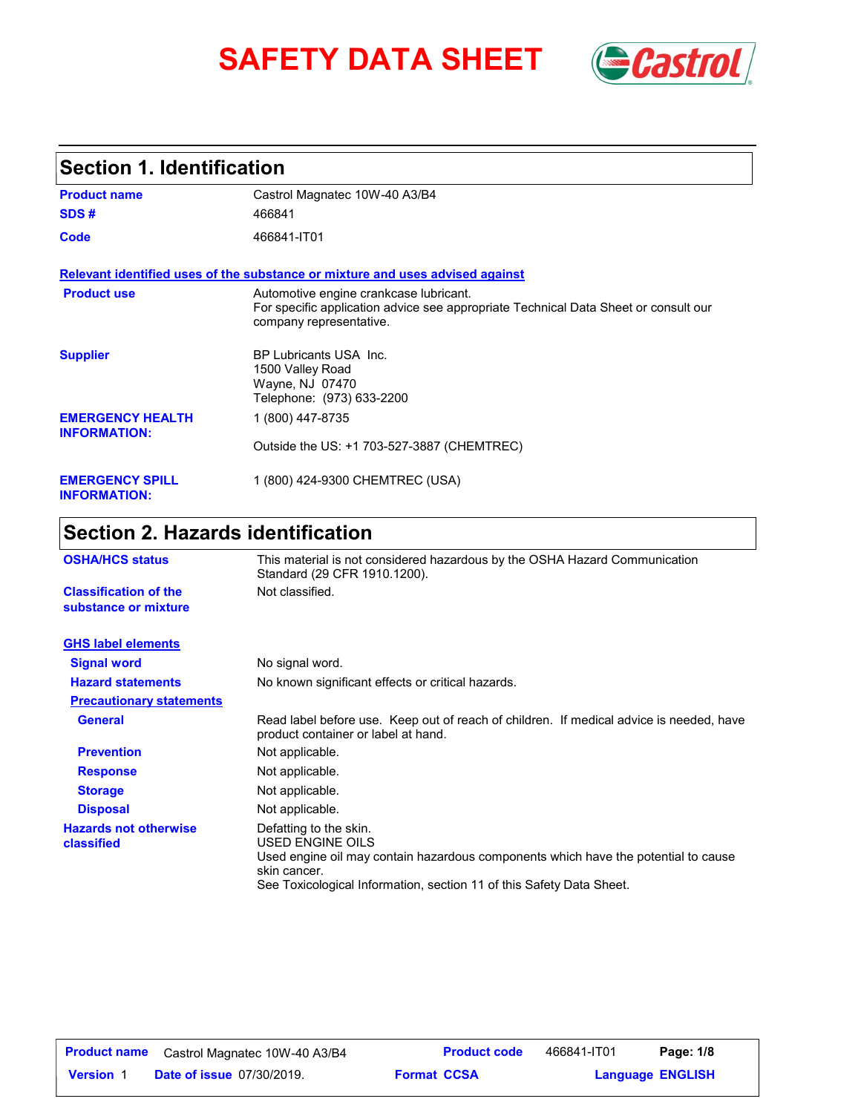# **SAFETY DATA SHEET** *Castrol*



## **Section 1. Identification**

| <b>Product name</b>                            | Castrol Magnatec 10W-40 A3/B4                                                                                                                            |
|------------------------------------------------|----------------------------------------------------------------------------------------------------------------------------------------------------------|
| SDS#                                           | 466841                                                                                                                                                   |
| Code                                           | 466841-IT01                                                                                                                                              |
|                                                | Relevant identified uses of the substance or mixture and uses advised against                                                                            |
| <b>Product use</b>                             | Automotive engine crankcase lubricant.<br>For specific application advice see appropriate Technical Data Sheet or consult our<br>company representative. |
| <b>Supplier</b>                                | BP Lubricants USA Inc.<br>1500 Valley Road<br>Wayne, NJ 07470<br>Telephone: (973) 633-2200                                                               |
| <b>EMERGENCY HEALTH</b><br><b>INFORMATION:</b> | 1 (800) 447-8735                                                                                                                                         |
|                                                | Outside the US: +1 703-527-3887 (CHEMTREC)                                                                                                               |
| <b>EMERGENCY SPILL</b><br><b>INFORMATION:</b>  | 1 (800) 424-9300 CHEMTREC (USA)                                                                                                                          |

# **Section 2. Hazards identification**

| <b>OSHA/HCS status</b>                               | This material is not considered hazardous by the OSHA Hazard Communication<br>Standard (29 CFR 1910.1200).                                                                                                               |  |  |
|------------------------------------------------------|--------------------------------------------------------------------------------------------------------------------------------------------------------------------------------------------------------------------------|--|--|
| <b>Classification of the</b><br>substance or mixture | Not classified.                                                                                                                                                                                                          |  |  |
| <b>GHS label elements</b>                            |                                                                                                                                                                                                                          |  |  |
| <b>Signal word</b>                                   | No signal word.                                                                                                                                                                                                          |  |  |
| <b>Hazard statements</b>                             | No known significant effects or critical hazards.                                                                                                                                                                        |  |  |
| <b>Precautionary statements</b>                      |                                                                                                                                                                                                                          |  |  |
| <b>General</b>                                       | Read label before use. Keep out of reach of children. If medical advice is needed, have<br>product container or label at hand.                                                                                           |  |  |
| <b>Prevention</b>                                    | Not applicable.                                                                                                                                                                                                          |  |  |
| <b>Response</b>                                      | Not applicable.                                                                                                                                                                                                          |  |  |
| <b>Storage</b>                                       | Not applicable.                                                                                                                                                                                                          |  |  |
| <b>Disposal</b>                                      | Not applicable.                                                                                                                                                                                                          |  |  |
| <b>Hazards not otherwise</b><br>classified           | Defatting to the skin.<br>USED ENGINE OILS<br>Used engine oil may contain hazardous components which have the potential to cause<br>skin cancer.<br>See Toxicological Information, section 11 of this Safety Data Sheet. |  |  |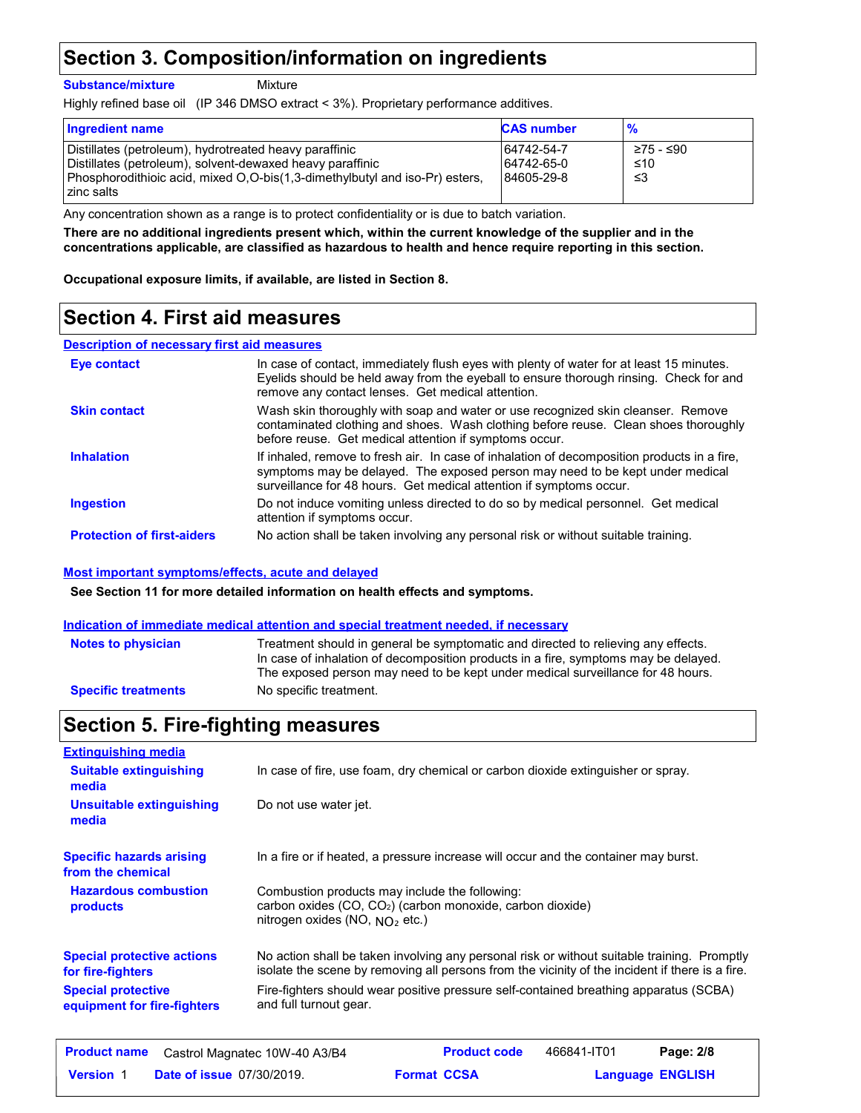## **Section 3. Composition/information on ingredients**

**Substance/mixture**

Mixture

Highly refined base oil (IP 346 DMSO extract < 3%). Proprietary performance additives.

| <b>Ingredient name</b>                                                                                                                                                                                           | <b>CAS number</b>                      | $\frac{9}{6}$           |
|------------------------------------------------------------------------------------------------------------------------------------------------------------------------------------------------------------------|----------------------------------------|-------------------------|
| Distillates (petroleum), hydrotreated heavy paraffinic<br>Distillates (petroleum), solvent-dewaxed heavy paraffinic<br>Phosphorodithioic acid, mixed O,O-bis(1,3-dimethylbutyl and iso-Pr) esters,<br>zinc salts | 64742-54-7<br>64742-65-0<br>84605-29-8 | ≥75 - ≤90<br>≤10<br>-≤3 |

Any concentration shown as a range is to protect confidentiality or is due to batch variation.

**There are no additional ingredients present which, within the current knowledge of the supplier and in the concentrations applicable, are classified as hazardous to health and hence require reporting in this section.**

**Occupational exposure limits, if available, are listed in Section 8.**

### **Section 4. First aid measures**

### **Description of necessary first aid measures**

| Eye contact                       | In case of contact, immediately flush eyes with plenty of water for at least 15 minutes.<br>Eyelids should be held away from the eyeball to ensure thorough rinsing. Check for and<br>remove any contact lenses. Get medical attention.             |
|-----------------------------------|-----------------------------------------------------------------------------------------------------------------------------------------------------------------------------------------------------------------------------------------------------|
| <b>Skin contact</b>               | Wash skin thoroughly with soap and water or use recognized skin cleanser. Remove<br>contaminated clothing and shoes. Wash clothing before reuse. Clean shoes thoroughly<br>before reuse. Get medical attention if symptoms occur.                   |
| <b>Inhalation</b>                 | If inhaled, remove to fresh air. In case of inhalation of decomposition products in a fire,<br>symptoms may be delayed. The exposed person may need to be kept under medical<br>surveillance for 48 hours. Get medical attention if symptoms occur. |
| <b>Ingestion</b>                  | Do not induce vomiting unless directed to do so by medical personnel. Get medical<br>attention if symptoms occur.                                                                                                                                   |
| <b>Protection of first-aiders</b> | No action shall be taken involving any personal risk or without suitable training.                                                                                                                                                                  |

### **Most important symptoms/effects, acute and delayed**

**See Section 11 for more detailed information on health effects and symptoms.**

### **Indication of immediate medical attention and special treatment needed, if necessary**

| <b>Notes to physician</b>  | Treatment should in general be symptomatic and directed to relieving any effects.<br>In case of inhalation of decomposition products in a fire, symptoms may be delayed.<br>The exposed person may need to be kept under medical surveillance for 48 hours. |
|----------------------------|-------------------------------------------------------------------------------------------------------------------------------------------------------------------------------------------------------------------------------------------------------------|
| <b>Specific treatments</b> | No specific treatment.                                                                                                                                                                                                                                      |

### **Section 5. Fire-fighting measures**

| <b>Extinguishing media</b>                               |                                                                                                                                                                                                |  |  |
|----------------------------------------------------------|------------------------------------------------------------------------------------------------------------------------------------------------------------------------------------------------|--|--|
| <b>Suitable extinguishing</b><br>media                   | In case of fire, use foam, dry chemical or carbon dioxide extinguisher or spray.                                                                                                               |  |  |
| <b>Unsuitable extinguishing</b><br>media                 | Do not use water jet.                                                                                                                                                                          |  |  |
| <b>Specific hazards arising</b><br>from the chemical     | In a fire or if heated, a pressure increase will occur and the container may burst.                                                                                                            |  |  |
| <b>Hazardous combustion</b><br>products                  | Combustion products may include the following:<br>carbon oxides $(CO, CO2)$ (carbon monoxide, carbon dioxide)<br>nitrogen oxides (NO, $NQ_2$ etc.)                                             |  |  |
| <b>Special protective actions</b><br>for fire-fighters   | No action shall be taken involving any personal risk or without suitable training. Promptly<br>isolate the scene by removing all persons from the vicinity of the incident if there is a fire. |  |  |
| <b>Special protective</b><br>equipment for fire-fighters | Fire-fighters should wear positive pressure self-contained breathing apparatus (SCBA)<br>and full turnout gear.                                                                                |  |  |
| <b>Product name</b>                                      | <b>Product code</b><br>466841-IT01<br>Page: 2/8<br>Castrol Magnatec 10W-40 A3/B4                                                                                                               |  |  |

| <b>Product name</b> | Castrol Magnatec 10W-40 A3/B4    |                    | <b>Product code</b> | 466841-IT01             | Page: 2/8 |  |
|---------------------|----------------------------------|--------------------|---------------------|-------------------------|-----------|--|
| <b>Version 1</b>    | <b>Date of issue 07/30/2019.</b> | <b>Format CCSA</b> |                     | <b>Language ENGLISH</b> |           |  |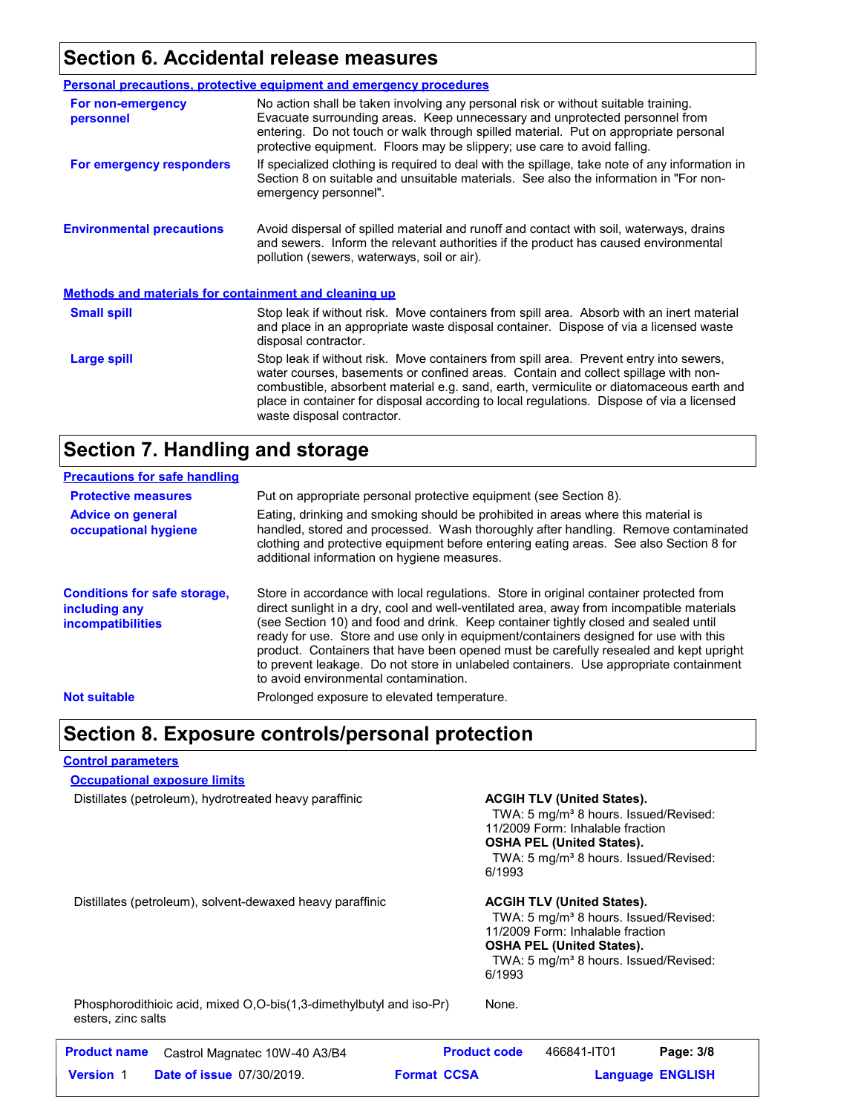## **Section 6. Accidental release measures**

|                                                              | <b>Personal precautions, protective equipment and emergency procedures</b>                                                                                                                                                                                                                                                                                                                         |  |  |
|--------------------------------------------------------------|----------------------------------------------------------------------------------------------------------------------------------------------------------------------------------------------------------------------------------------------------------------------------------------------------------------------------------------------------------------------------------------------------|--|--|
| For non-emergency<br>personnel                               | No action shall be taken involving any personal risk or without suitable training.<br>Evacuate surrounding areas. Keep unnecessary and unprotected personnel from<br>entering. Do not touch or walk through spilled material. Put on appropriate personal<br>protective equipment. Floors may be slippery; use care to avoid falling.                                                              |  |  |
| For emergency responders                                     | If specialized clothing is required to deal with the spillage, take note of any information in<br>Section 8 on suitable and unsuitable materials. See also the information in "For non-<br>emergency personnel".                                                                                                                                                                                   |  |  |
| <b>Environmental precautions</b>                             | Avoid dispersal of spilled material and runoff and contact with soil, waterways, drains<br>and sewers. Inform the relevant authorities if the product has caused environmental<br>pollution (sewers, waterways, soil or air).                                                                                                                                                                      |  |  |
| <b>Methods and materials for containment and cleaning up</b> |                                                                                                                                                                                                                                                                                                                                                                                                    |  |  |
| <b>Small spill</b>                                           | Stop leak if without risk. Move containers from spill area. Absorb with an inert material<br>and place in an appropriate waste disposal container. Dispose of via a licensed waste<br>disposal contractor.                                                                                                                                                                                         |  |  |
| Large spill                                                  | Stop leak if without risk. Move containers from spill area. Prevent entry into sewers,<br>water courses, basements or confined areas. Contain and collect spillage with non-<br>combustible, absorbent material e.g. sand, earth, vermiculite or diatomaceous earth and<br>place in container for disposal according to local regulations. Dispose of via a licensed<br>waste disposal contractor. |  |  |

### **Section 7. Handling and storage**

| <b>Precautions for safe handling</b>                                             |                                                                                                                                                                                                                                                                                                                                                                                                                                                                                                                                                                                               |
|----------------------------------------------------------------------------------|-----------------------------------------------------------------------------------------------------------------------------------------------------------------------------------------------------------------------------------------------------------------------------------------------------------------------------------------------------------------------------------------------------------------------------------------------------------------------------------------------------------------------------------------------------------------------------------------------|
| <b>Protective measures</b>                                                       | Put on appropriate personal protective equipment (see Section 8).                                                                                                                                                                                                                                                                                                                                                                                                                                                                                                                             |
| <b>Advice on general</b><br>occupational hygiene                                 | Eating, drinking and smoking should be prohibited in areas where this material is<br>handled, stored and processed. Wash thoroughly after handling. Remove contaminated<br>clothing and protective equipment before entering eating areas. See also Section 8 for<br>additional information on hygiene measures.                                                                                                                                                                                                                                                                              |
| <b>Conditions for safe storage,</b><br>including any<br><i>incompatibilities</i> | Store in accordance with local regulations. Store in original container protected from<br>direct sunlight in a dry, cool and well-ventilated area, away from incompatible materials<br>(see Section 10) and food and drink. Keep container tightly closed and sealed until<br>ready for use. Store and use only in equipment/containers designed for use with this<br>product. Containers that have been opened must be carefully resealed and kept upright<br>to prevent leakage. Do not store in unlabeled containers. Use appropriate containment<br>to avoid environmental contamination. |
| <b>Not suitable</b>                                                              | Prolonged exposure to elevated temperature.                                                                                                                                                                                                                                                                                                                                                                                                                                                                                                                                                   |

### **Section 8. Exposure controls/personal protection**

### **Control parameters**

**Occupational exposure limits**

Distillates (petroleum), hydrotreated heavy paraffinic **ACGIH TLV (United States).** 

TWA: 5 mg/m<sup>3</sup> 8 hours. Issued/Revised: 11/2009 Form: Inhalable fraction **OSHA PEL (United States).** TWA: 5 mg/m<sup>3</sup> 8 hours. Issued/Revised: 6/1993

Distillates (petroleum), solvent-dewaxed heavy paraffinic **ACGIH TLV (United States).** 

TWA: 5 mg/m<sup>3</sup> 8 hours. Issued/Revised: 11/2009 Form: Inhalable fraction **OSHA PEL (United States).** TWA: 5 mg/m<sup>3</sup> 8 hours. Issued/Revised: 6/1993

Phosphorodithioic acid, mixed O,O-bis(1,3-dimethylbutyl and iso-Pr) esters, zinc salts

None.

| <b>Product name</b> | Castrol Magnatec 10W-40 A3/B4    |                    | <b>Product code</b> | 466841-IT01 | Page: 3/8               |  |
|---------------------|----------------------------------|--------------------|---------------------|-------------|-------------------------|--|
| <b>Version 1</b>    | <b>Date of issue 07/30/2019.</b> | <b>Format CCSA</b> |                     |             | <b>Language ENGLISH</b> |  |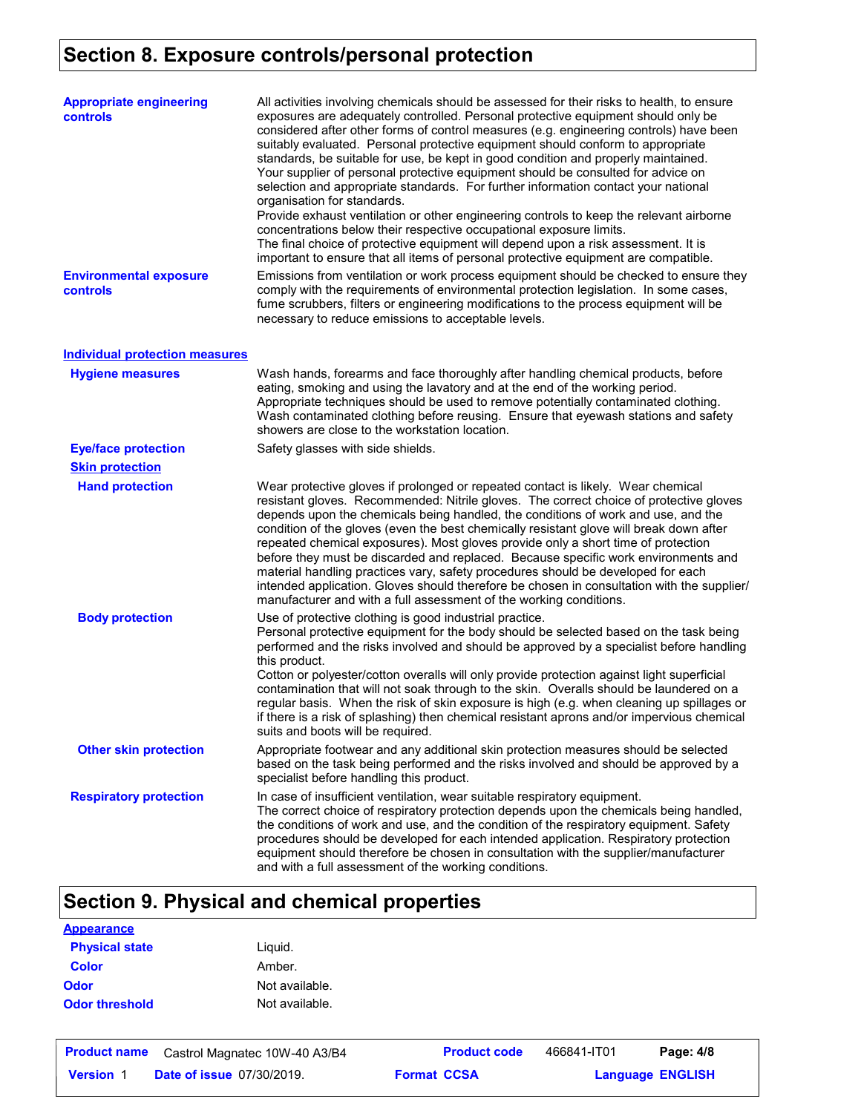# **Section 8. Exposure controls/personal protection**

| <b>Appropriate engineering</b><br><b>controls</b> | All activities involving chemicals should be assessed for their risks to health, to ensure<br>exposures are adequately controlled. Personal protective equipment should only be<br>considered after other forms of control measures (e.g. engineering controls) have been<br>suitably evaluated. Personal protective equipment should conform to appropriate<br>standards, be suitable for use, be kept in good condition and properly maintained.<br>Your supplier of personal protective equipment should be consulted for advice on<br>selection and appropriate standards. For further information contact your national<br>organisation for standards.<br>Provide exhaust ventilation or other engineering controls to keep the relevant airborne<br>concentrations below their respective occupational exposure limits.<br>The final choice of protective equipment will depend upon a risk assessment. It is<br>important to ensure that all items of personal protective equipment are compatible. |
|---------------------------------------------------|------------------------------------------------------------------------------------------------------------------------------------------------------------------------------------------------------------------------------------------------------------------------------------------------------------------------------------------------------------------------------------------------------------------------------------------------------------------------------------------------------------------------------------------------------------------------------------------------------------------------------------------------------------------------------------------------------------------------------------------------------------------------------------------------------------------------------------------------------------------------------------------------------------------------------------------------------------------------------------------------------------|
| <b>Environmental exposure</b><br>controls         | Emissions from ventilation or work process equipment should be checked to ensure they<br>comply with the requirements of environmental protection legislation. In some cases,<br>fume scrubbers, filters or engineering modifications to the process equipment will be<br>necessary to reduce emissions to acceptable levels.                                                                                                                                                                                                                                                                                                                                                                                                                                                                                                                                                                                                                                                                              |
| <b>Individual protection measures</b>             |                                                                                                                                                                                                                                                                                                                                                                                                                                                                                                                                                                                                                                                                                                                                                                                                                                                                                                                                                                                                            |
| <b>Hygiene measures</b>                           | Wash hands, forearms and face thoroughly after handling chemical products, before<br>eating, smoking and using the lavatory and at the end of the working period.<br>Appropriate techniques should be used to remove potentially contaminated clothing.<br>Wash contaminated clothing before reusing. Ensure that eyewash stations and safety<br>showers are close to the workstation location.                                                                                                                                                                                                                                                                                                                                                                                                                                                                                                                                                                                                            |
| <b>Eye/face protection</b>                        | Safety glasses with side shields.                                                                                                                                                                                                                                                                                                                                                                                                                                                                                                                                                                                                                                                                                                                                                                                                                                                                                                                                                                          |
| <b>Skin protection</b>                            |                                                                                                                                                                                                                                                                                                                                                                                                                                                                                                                                                                                                                                                                                                                                                                                                                                                                                                                                                                                                            |
| <b>Hand protection</b>                            | Wear protective gloves if prolonged or repeated contact is likely. Wear chemical<br>resistant gloves. Recommended: Nitrile gloves. The correct choice of protective gloves<br>depends upon the chemicals being handled, the conditions of work and use, and the<br>condition of the gloves (even the best chemically resistant glove will break down after<br>repeated chemical exposures). Most gloves provide only a short time of protection<br>before they must be discarded and replaced. Because specific work environments and<br>material handling practices vary, safety procedures should be developed for each<br>intended application. Gloves should therefore be chosen in consultation with the supplier/<br>manufacturer and with a full assessment of the working conditions.                                                                                                                                                                                                              |
| <b>Body protection</b>                            | Use of protective clothing is good industrial practice.<br>Personal protective equipment for the body should be selected based on the task being<br>performed and the risks involved and should be approved by a specialist before handling<br>this product.<br>Cotton or polyester/cotton overalls will only provide protection against light superficial<br>contamination that will not soak through to the skin. Overalls should be laundered on a<br>regular basis. When the risk of skin exposure is high (e.g. when cleaning up spillages or<br>if there is a risk of splashing) then chemical resistant aprons and/or impervious chemical<br>suits and boots will be required.                                                                                                                                                                                                                                                                                                                      |
| <b>Other skin protection</b>                      | Appropriate footwear and any additional skin protection measures should be selected<br>based on the task being performed and the risks involved and should be approved by a<br>specialist before handling this product.                                                                                                                                                                                                                                                                                                                                                                                                                                                                                                                                                                                                                                                                                                                                                                                    |
| <b>Respiratory protection</b>                     | In case of insufficient ventilation, wear suitable respiratory equipment.<br>The correct choice of respiratory protection depends upon the chemicals being handled,<br>the conditions of work and use, and the condition of the respiratory equipment. Safety<br>procedures should be developed for each intended application. Respiratory protection<br>equipment should therefore be chosen in consultation with the supplier/manufacturer<br>and with a full assessment of the working conditions.                                                                                                                                                                                                                                                                                                                                                                                                                                                                                                      |

# **Section 9. Physical and chemical properties**

| <b>Appearance</b>     |                |
|-----------------------|----------------|
| <b>Physical state</b> | Liguid.        |
| <b>Color</b>          | Amber.         |
| <b>Odor</b>           | Not available. |
| <b>Odor threshold</b> | Not available. |

| <b>Product name</b> | Castrol Magnatec 10W-40 A3/B4    | <b>Product code</b> | 466841-IT01 | Page: 4/8               |
|---------------------|----------------------------------|---------------------|-------------|-------------------------|
| <b>Version</b>      | <b>Date of issue 07/30/2019.</b> | <b>Format CCSA</b>  |             | <b>Language ENGLISH</b> |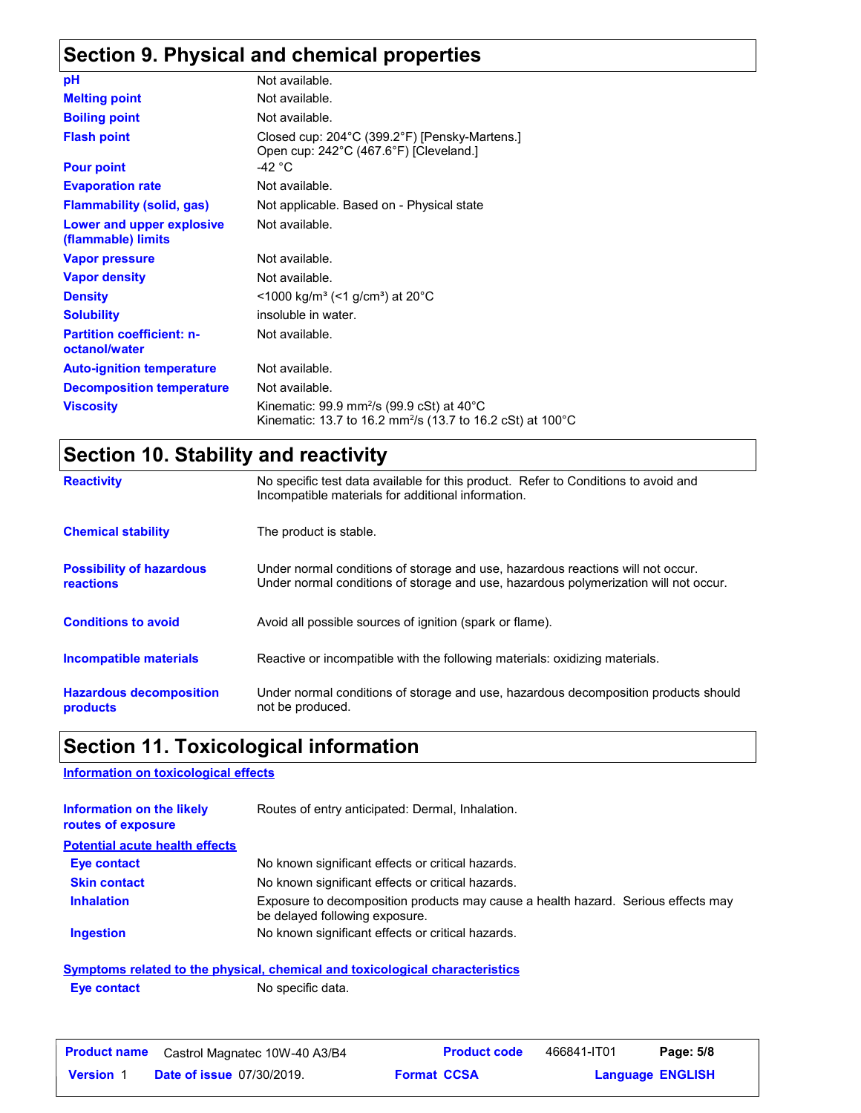# **Section 9. Physical and chemical properties**

| рH                                                | Not available.                                                                                                                             |
|---------------------------------------------------|--------------------------------------------------------------------------------------------------------------------------------------------|
| <b>Melting point</b>                              | Not available.                                                                                                                             |
| <b>Boiling point</b>                              | Not available.                                                                                                                             |
| <b>Flash point</b>                                | Closed cup: 204°C (399.2°F) [Pensky-Martens.]<br>Open cup: 242°C (467.6°F) [Cleveland.]                                                    |
| <b>Pour point</b>                                 | -42 $^{\circ}$ C                                                                                                                           |
| <b>Evaporation rate</b>                           | Not available.                                                                                                                             |
| <b>Flammability (solid, gas)</b>                  | Not applicable. Based on - Physical state                                                                                                  |
| Lower and upper explosive<br>(flammable) limits   | Not available.                                                                                                                             |
| <b>Vapor pressure</b>                             | Not available.                                                                                                                             |
| <b>Vapor density</b>                              | Not available.                                                                                                                             |
| <b>Density</b>                                    | $\leq$ 1000 kg/m <sup>3</sup> ( $\leq$ 1 g/cm <sup>3</sup> ) at 20 <sup>°</sup> C                                                          |
| <b>Solubility</b>                                 | insoluble in water.                                                                                                                        |
| <b>Partition coefficient: n-</b><br>octanol/water | Not available.                                                                                                                             |
| <b>Auto-ignition temperature</b>                  | Not available.                                                                                                                             |
| <b>Decomposition temperature</b>                  | Not available.                                                                                                                             |
| <b>Viscosity</b>                                  | Kinematic: 99.9 mm <sup>2</sup> /s (99.9 cSt) at 40 $^{\circ}$ C<br>Kinematic: 13.7 to 16.2 mm <sup>2</sup> /s (13.7 to 16.2 cSt) at 100°C |

# **Section 10. Stability and reactivity**

| <b>Reactivity</b>                            | No specific test data available for this product. Refer to Conditions to avoid and<br>Incompatible materials for additional information.                                |
|----------------------------------------------|-------------------------------------------------------------------------------------------------------------------------------------------------------------------------|
| <b>Chemical stability</b>                    | The product is stable.                                                                                                                                                  |
| <b>Possibility of hazardous</b><br>reactions | Under normal conditions of storage and use, hazardous reactions will not occur.<br>Under normal conditions of storage and use, hazardous polymerization will not occur. |
| <b>Conditions to avoid</b>                   | Avoid all possible sources of ignition (spark or flame).                                                                                                                |
| <b>Incompatible materials</b>                | Reactive or incompatible with the following materials: oxidizing materials.                                                                                             |
| <b>Hazardous decomposition</b><br>products   | Under normal conditions of storage and use, hazardous decomposition products should<br>not be produced.                                                                 |

# **Section 11. Toxicological information**

### **Information on toxicological effects**

| Information on the likely<br>routes of exposure | Routes of entry anticipated: Dermal, Inhalation.                                                                    |
|-------------------------------------------------|---------------------------------------------------------------------------------------------------------------------|
| <b>Potential acute health effects</b>           |                                                                                                                     |
| Eye contact                                     | No known significant effects or critical hazards.                                                                   |
| <b>Skin contact</b>                             | No known significant effects or critical hazards.                                                                   |
| <b>Inhalation</b>                               | Exposure to decomposition products may cause a health hazard. Serious effects may<br>be delayed following exposure. |
| <b>Ingestion</b>                                | No known significant effects or critical hazards.                                                                   |
|                                                 | <b>Symptoms related to the physical, chemical and toxicological characteristics</b>                                 |

**Eye contact** No specific data.

| <b>Product name</b> | Castrol Magnatec 10W-40 A3/B4    |                    | <b>Product code</b> | 466841-IT01 | Page: 5/8               |
|---------------------|----------------------------------|--------------------|---------------------|-------------|-------------------------|
| <b>Version 1</b>    | <b>Date of issue 07/30/2019.</b> | <b>Format CCSA</b> |                     |             | <b>Language ENGLISH</b> |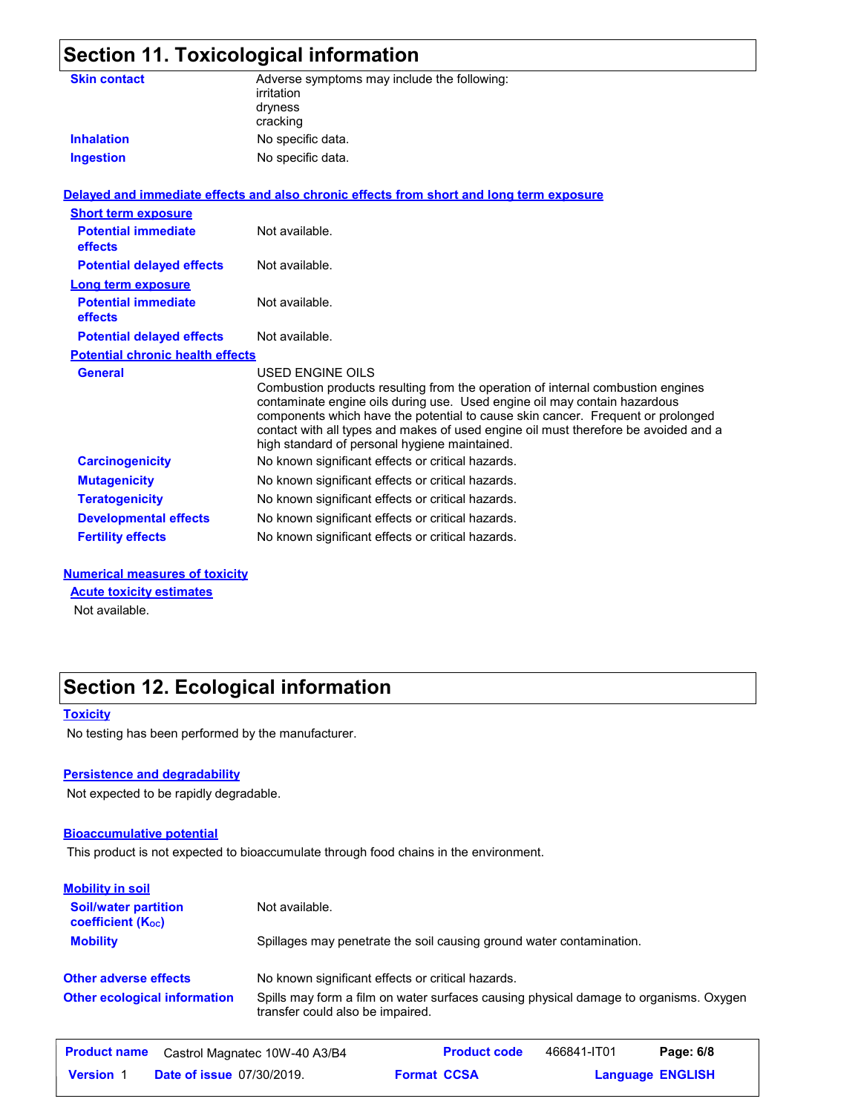| Section 11. Toxicological information        |                                                                                                                                                                                                                                                                                                                                                                                                             |  |  |  |
|----------------------------------------------|-------------------------------------------------------------------------------------------------------------------------------------------------------------------------------------------------------------------------------------------------------------------------------------------------------------------------------------------------------------------------------------------------------------|--|--|--|
| <b>Skin contact</b>                          | Adverse symptoms may include the following:<br>irritation<br>dryness<br>cracking                                                                                                                                                                                                                                                                                                                            |  |  |  |
| <b>Inhalation</b>                            | No specific data.                                                                                                                                                                                                                                                                                                                                                                                           |  |  |  |
| <b>Ingestion</b>                             | No specific data.                                                                                                                                                                                                                                                                                                                                                                                           |  |  |  |
|                                              | Delayed and immediate effects and also chronic effects from short and long term exposure                                                                                                                                                                                                                                                                                                                    |  |  |  |
| <b>Short term exposure</b>                   |                                                                                                                                                                                                                                                                                                                                                                                                             |  |  |  |
| <b>Potential immediate</b><br>effects        | Not available.                                                                                                                                                                                                                                                                                                                                                                                              |  |  |  |
| <b>Potential delayed effects</b>             | Not available.                                                                                                                                                                                                                                                                                                                                                                                              |  |  |  |
| Long term exposure                           |                                                                                                                                                                                                                                                                                                                                                                                                             |  |  |  |
| <b>Potential immediate</b><br><b>effects</b> | Not available.                                                                                                                                                                                                                                                                                                                                                                                              |  |  |  |
| <b>Potential delayed effects</b>             | Not available.                                                                                                                                                                                                                                                                                                                                                                                              |  |  |  |
| <b>Potential chronic health effects</b>      |                                                                                                                                                                                                                                                                                                                                                                                                             |  |  |  |
| <b>General</b>                               | USED ENGINE OILS<br>Combustion products resulting from the operation of internal combustion engines<br>contaminate engine oils during use. Used engine oil may contain hazardous<br>components which have the potential to cause skin cancer. Frequent or prolonged<br>contact with all types and makes of used engine oil must therefore be avoided and a<br>high standard of personal hygiene maintained. |  |  |  |
| <b>Carcinogenicity</b>                       | No known significant effects or critical hazards.                                                                                                                                                                                                                                                                                                                                                           |  |  |  |
| <b>Mutagenicity</b>                          | No known significant effects or critical hazards.                                                                                                                                                                                                                                                                                                                                                           |  |  |  |
| <b>Teratogenicity</b>                        | No known significant effects or critical hazards.                                                                                                                                                                                                                                                                                                                                                           |  |  |  |

### **Numerical measures of toxicity**

**Acute toxicity estimates**

Not available.

### **Section 12. Ecological information**

#### **Toxicity**

No testing has been performed by the manufacturer.

### **Persistence and degradability**

Not expected to be rapidly degradable.

### **Bioaccumulative potential**

This product is not expected to bioaccumulate through food chains in the environment.

**Developmental effects** No known significant effects or critical hazards. **Fertility effects** No known significant effects or critical hazards.

| <b>Mobility in soil</b>                                 |                                                                                                                           |                    |                     |             |                         |
|---------------------------------------------------------|---------------------------------------------------------------------------------------------------------------------------|--------------------|---------------------|-------------|-------------------------|
| <b>Soil/water partition</b><br><b>coefficient (Koc)</b> | Not available.                                                                                                            |                    |                     |             |                         |
| <b>Mobility</b>                                         | Spillages may penetrate the soil causing ground water contamination.<br>No known significant effects or critical hazards. |                    |                     |             |                         |
| <b>Other adverse effects</b>                            |                                                                                                                           |                    |                     |             |                         |
| <b>Other ecological information</b>                     | Spills may form a film on water surfaces causing physical damage to organisms. Oxygen<br>transfer could also be impaired. |                    |                     |             |                         |
| <b>Product name</b>                                     | Castrol Magnatec 10W-40 A3/B4                                                                                             |                    | <b>Product code</b> | 466841-IT01 | Page: 6/8               |
| <b>Date of issue 07/30/2019.</b><br><b>Version 1</b>    |                                                                                                                           | <b>Format CCSA</b> |                     |             | <b>Language ENGLISH</b> |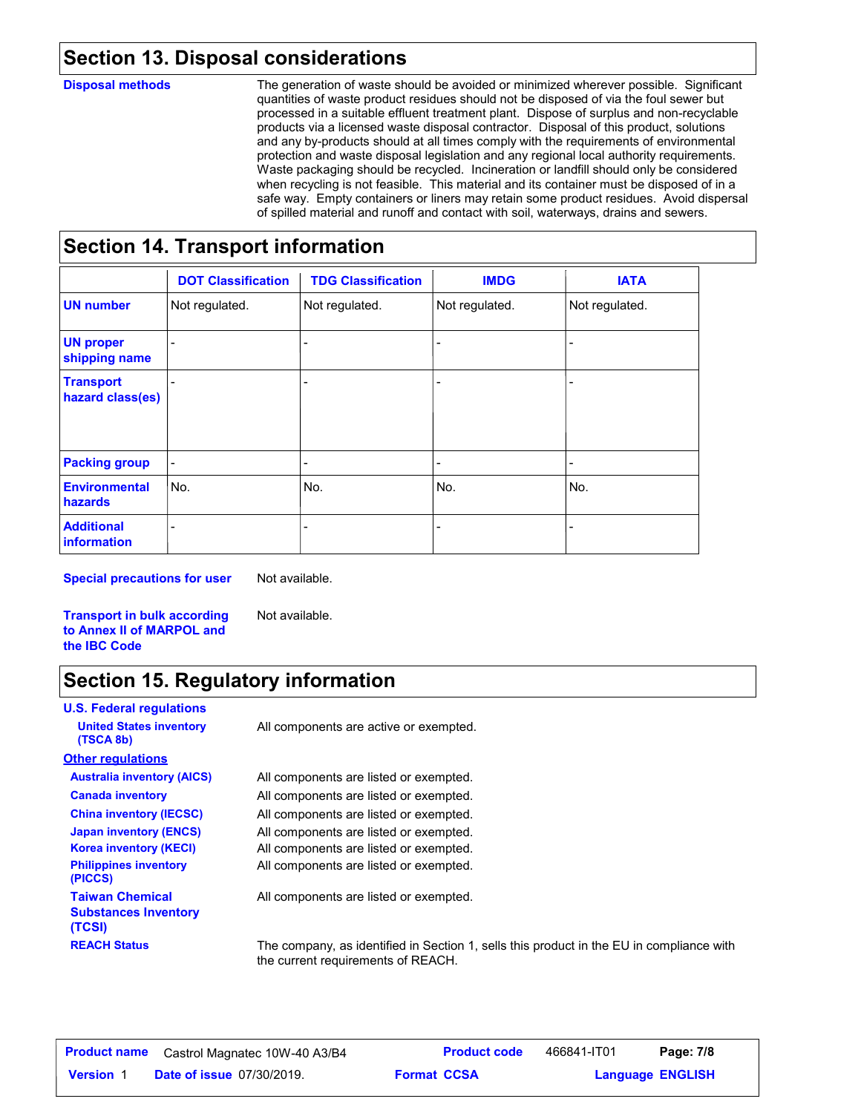# **Section 13. Disposal considerations**

### **Disposal methods**

The generation of waste should be avoided or minimized wherever possible. Significant quantities of waste product residues should not be disposed of via the foul sewer but processed in a suitable effluent treatment plant. Dispose of surplus and non-recyclable products via a licensed waste disposal contractor. Disposal of this product, solutions and any by-products should at all times comply with the requirements of environmental protection and waste disposal legislation and any regional local authority requirements. Waste packaging should be recycled. Incineration or landfill should only be considered when recycling is not feasible. This material and its container must be disposed of in a safe way. Empty containers or liners may retain some product residues. Avoid dispersal of spilled material and runoff and contact with soil, waterways, drains and sewers.

# **Section 14. Transport information**

|                                      | <b>DOT Classification</b> | <b>TDG Classification</b> | <b>IMDG</b>    | <b>IATA</b>    |
|--------------------------------------|---------------------------|---------------------------|----------------|----------------|
| <b>UN number</b>                     | Not regulated.            | Not regulated.            | Not regulated. | Not regulated. |
| <b>UN proper</b><br>shipping name    |                           |                           |                |                |
| <b>Transport</b><br>hazard class(es) |                           |                           |                |                |
| <b>Packing group</b>                 |                           | -                         | -              |                |
| <b>Environmental</b><br>hazards      | No.                       | No.                       | No.            | No.            |
| <b>Additional</b><br>information     |                           |                           |                |                |

**Special precautions for user**

Not available.

**Transport in bulk according to Annex II of MARPOL and the IBC Code**

# Not available.

# **Section 15. Regulatory information**

| <b>U.S. Federal regulations</b>                                 |                                                                                                                                |
|-----------------------------------------------------------------|--------------------------------------------------------------------------------------------------------------------------------|
| <b>United States inventory</b><br>(TSCA 8b)                     | All components are active or exempted.                                                                                         |
| <b>Other regulations</b>                                        |                                                                                                                                |
| <b>Australia inventory (AICS)</b>                               | All components are listed or exempted.                                                                                         |
| <b>Canada inventory</b>                                         | All components are listed or exempted.                                                                                         |
| <b>China inventory (IECSC)</b>                                  | All components are listed or exempted.                                                                                         |
| <b>Japan inventory (ENCS)</b>                                   | All components are listed or exempted.                                                                                         |
| <b>Korea inventory (KECI)</b>                                   | All components are listed or exempted.                                                                                         |
| <b>Philippines inventory</b><br>(PICCS)                         | All components are listed or exempted.                                                                                         |
| <b>Taiwan Chemical</b><br><b>Substances Inventory</b><br>(TCSI) | All components are listed or exempted.                                                                                         |
| <b>REACH Status</b>                                             | The company, as identified in Section 1, sells this product in the EU in compliance with<br>the current requirements of REACH. |

| <b>Product name</b> | Castrol Magnatec 10W-40 A3/B4    |                    | <b>Product code</b> | 466841-IT01 | Page: 7/8               |  |
|---------------------|----------------------------------|--------------------|---------------------|-------------|-------------------------|--|
| <b>Version 1</b>    | <b>Date of issue 07/30/2019.</b> | <b>Format CCSA</b> |                     |             | <b>Language ENGLISH</b> |  |